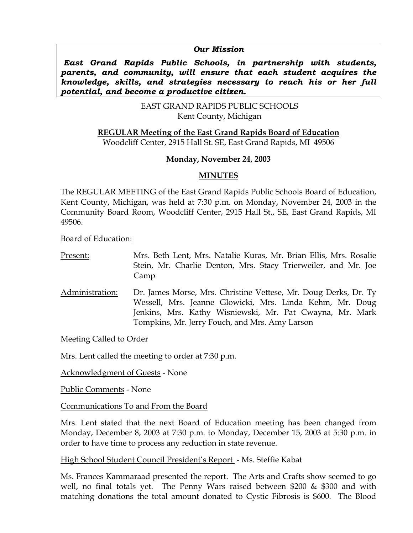#### *Our Mission*

 *East Grand Rapids Public Schools, in partnership with students, parents, and community, will ensure that each student acquires the knowledge, skills, and strategies necessary to reach his or her full potential, and become a productive citizen.* 

> EAST GRAND RAPIDS PUBLIC SCHOOLS Kent County, Michigan

**REGULAR Meeting of the East Grand Rapids Board of Education**

Woodcliff Center, 2915 Hall St. SE, East Grand Rapids, MI 49506

### **Monday, November 24, 2003**

### **MINUTES**

The REGULAR MEETING of the East Grand Rapids Public Schools Board of Education, Kent County, Michigan, was held at 7:30 p.m. on Monday, November 24, 2003 in the Community Board Room, Woodcliff Center, 2915 Hall St., SE, East Grand Rapids, MI 49506.

Board of Education:

Present:Mrs. Beth Lent, Mrs. Natalie Kuras, Mr. Brian Ellis, Mrs. Rosalie Stein, Mr. Charlie Denton, Mrs. Stacy Trierweiler, and Mr. Joe Camp Administration: Dr. James Morse, Mrs. Christine Vettese, Mr. Doug Derks, Dr. Ty Wessell, Mrs. Jeanne Glowicki, Mrs. Linda Kehm, Mr. Doug Jenkins, Mrs. Kathy Wisniewski, Mr. Pat Cwayna, Mr. Mark

Tompkins, Mr. Jerry Fouch, and Mrs. Amy Larson

Meeting Called to Order

Mrs. Lent called the meeting to order at 7:30 p.m.

Acknowledgment of Guests - None

Public Comments - None

Communications To and From the Board

Mrs. Lent stated that the next Board of Education meeting has been changed from Monday, December 8, 2003 at 7:30 p.m. to Monday, December 15, 2003 at 5:30 p.m. in order to have time to process any reduction in state revenue.

High School Student Council President's Report - Ms. Steffie Kabat

Ms. Frances Kammaraad presented the report. The Arts and Crafts show seemed to go well, no final totals yet. The Penny Wars raised between \$200  $\&$  \$300 and with matching donations the total amount donated to Cystic Fibrosis is \$600. The Blood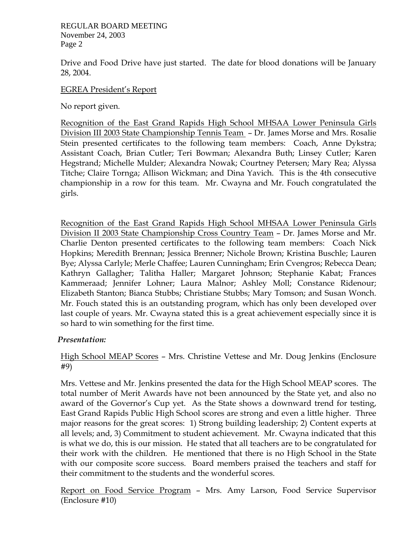REGULAR BOARD MEETING November 24, 2003 Page 2

Drive and Food Drive have just started. The date for blood donations will be January 28, 2004.

#### EGREA President's Report

No report given.

Recognition of the East Grand Rapids High School MHSAA Lower Peninsula Girls Division III 2003 State Championship Tennis Team – Dr. James Morse and Mrs. Rosalie Stein presented certificates to the following team members: Coach, Anne Dykstra; Assistant Coach, Brian Cutler; Teri Bowman; Alexandra Buth; Linsey Cutler; Karen Hegstrand; Michelle Mulder; Alexandra Nowak; Courtney Petersen; Mary Rea; Alyssa Titche; Claire Tornga; Allison Wickman; and Dina Yavich. This is the 4th consecutive championship in a row for this team. Mr. Cwayna and Mr. Fouch congratulated the girls.

Recognition of the East Grand Rapids High School MHSAA Lower Peninsula Girls Division II 2003 State Championship Cross Country Team – Dr. James Morse and Mr. Charlie Denton presented certificates to the following team members: Coach Nick Hopkins; Meredith Brennan; Jessica Brenner; Nichole Brown; Kristina Buschle; Lauren Bye; Alyssa Carlyle; Merle Chaffee; Lauren Cunningham; Erin Cvengros; Rebecca Dean; Kathryn Gallagher; Talitha Haller; Margaret Johnson; Stephanie Kabat; Frances Kammeraad; Jennifer Lohner; Laura Malnor; Ashley Moll; Constance Ridenour; Elizabeth Stanton; Bianca Stubbs; Christiane Stubbs; Mary Tomson; and Susan Wonch. Mr. Fouch stated this is an outstanding program, which has only been developed over last couple of years. Mr. Cwayna stated this is a great achievement especially since it is so hard to win something for the first time.

### *Presentation:*

High School MEAP Scores – Mrs. Christine Vettese and Mr. Doug Jenkins (Enclosure #9)

Mrs. Vettese and Mr. Jenkins presented the data for the High School MEAP scores. The total number of Merit Awards have not been announced by the State yet, and also no award of the Governor's Cup yet. As the State shows a downward trend for testing, East Grand Rapids Public High School scores are strong and even a little higher. Three major reasons for the great scores: 1) Strong building leadership; 2) Content experts at all levels; and, 3) Commitment to student achievement. Mr. Cwayna indicated that this is what we do, this is our mission. He stated that all teachers are to be congratulated for their work with the children. He mentioned that there is no High School in the State with our composite score success. Board members praised the teachers and staff for their commitment to the students and the wonderful scores.

Report on Food Service Program – Mrs. Amy Larson, Food Service Supervisor (Enclosure #10)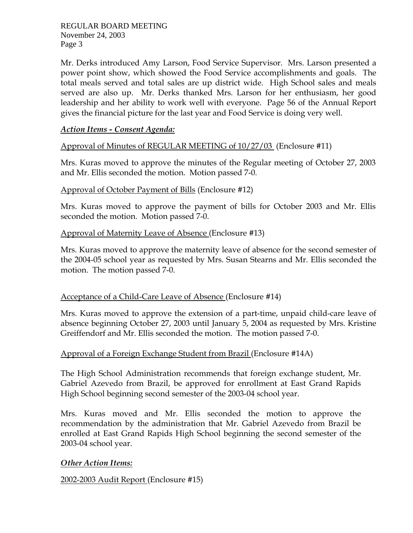REGULAR BOARD MEETING November 24, 2003 Page 3

Mr. Derks introduced Amy Larson, Food Service Supervisor. Mrs. Larson presented a power point show, which showed the Food Service accomplishments and goals. The total meals served and total sales are up district wide. High School sales and meals served are also up. Mr. Derks thanked Mrs. Larson for her enthusiasm, her good leadership and her ability to work well with everyone. Page 56 of the Annual Report gives the financial picture for the last year and Food Service is doing very well.

## *Action Items - Consent Agenda:*

Approval of Minutes of REGULAR MEETING of 10/27/03 (Enclosure #11)

Mrs. Kuras moved to approve the minutes of the Regular meeting of October 27, 2003 and Mr. Ellis seconded the motion. Motion passed 7-0.

### Approval of October Payment of Bills (Enclosure #12)

Mrs. Kuras moved to approve the payment of bills for October 2003 and Mr. Ellis seconded the motion. Motion passed 7-0.

### Approval of Maternity Leave of Absence (Enclosure #13)

Mrs. Kuras moved to approve the maternity leave of absence for the second semester of the 2004-05 school year as requested by Mrs. Susan Stearns and Mr. Ellis seconded the motion. The motion passed 7-0.

### Acceptance of a Child-Care Leave of Absence (Enclosure #14)

Mrs. Kuras moved to approve the extension of a part-time, unpaid child-care leave of absence beginning October 27, 2003 until January 5, 2004 as requested by Mrs. Kristine Greiffendorf and Mr. Ellis seconded the motion. The motion passed 7-0.

# Approval of a Foreign Exchange Student from Brazil (Enclosure #14A)

The High School Administration recommends that foreign exchange student, Mr. Gabriel Azevedo from Brazil, be approved for enrollment at East Grand Rapids High School beginning second semester of the 2003-04 school year.

Mrs. Kuras moved and Mr. Ellis seconded the motion to approve the recommendation by the administration that Mr. Gabriel Azevedo from Brazil be enrolled at East Grand Rapids High School beginning the second semester of the 2003-04 school year.

# *Other Action Items:*

2002-2003 Audit Report (Enclosure #15)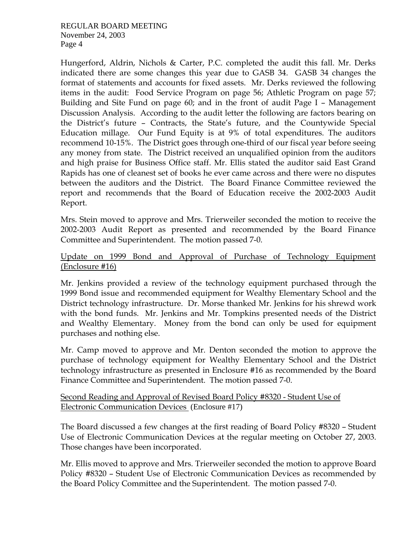Hungerford, Aldrin, Nichols & Carter, P.C. completed the audit this fall. Mr. Derks indicated there are some changes this year due to GASB 34. GASB 34 changes the format of statements and accounts for fixed assets. Mr. Derks reviewed the following items in the audit: Food Service Program on page 56; Athletic Program on page 57; Building and Site Fund on page 60; and in the front of audit Page I – Management Discussion Analysis. According to the audit letter the following are factors bearing on the District's future – Contracts, the State's future, and the Countywide Special Education millage. Our Fund Equity is at 9% of total expenditures. The auditors recommend 10-15%. The District goes through one-third of our fiscal year before seeing any money from state. The District received an unqualified opinion from the auditors and high praise for Business Office staff. Mr. Ellis stated the auditor said East Grand Rapids has one of cleanest set of books he ever came across and there were no disputes between the auditors and the District. The Board Finance Committee reviewed the report and recommends that the Board of Education receive the 2002-2003 Audit Report.

Mrs. Stein moved to approve and Mrs. Trierweiler seconded the motion to receive the 2002-2003 Audit Report as presented and recommended by the Board Finance Committee and Superintendent. The motion passed 7-0.

# Update on 1999 Bond and Approval of Purchase of Technology Equipment (Enclosure #16)

Mr. Jenkins provided a review of the technology equipment purchased through the 1999 Bond issue and recommended equipment for Wealthy Elementary School and the District technology infrastructure. Dr. Morse thanked Mr. Jenkins for his shrewd work with the bond funds. Mr. Jenkins and Mr. Tompkins presented needs of the District and Wealthy Elementary. Money from the bond can only be used for equipment purchases and nothing else.

Mr. Camp moved to approve and Mr. Denton seconded the motion to approve the purchase of technology equipment for Wealthy Elementary School and the District technology infrastructure as presented in Enclosure #16 as recommended by the Board Finance Committee and Superintendent. The motion passed 7-0.

### Second Reading and Approval of Revised Board Policy #8320 - Student Use of Electronic Communication Devices (Enclosure #17)

The Board discussed a few changes at the first reading of Board Policy #8320 – Student Use of Electronic Communication Devices at the regular meeting on October 27, 2003. Those changes have been incorporated.

Mr. Ellis moved to approve and Mrs. Trierweiler seconded the motion to approve Board Policy #8320 – Student Use of Electronic Communication Devices as recommended by the Board Policy Committee and the Superintendent. The motion passed 7-0.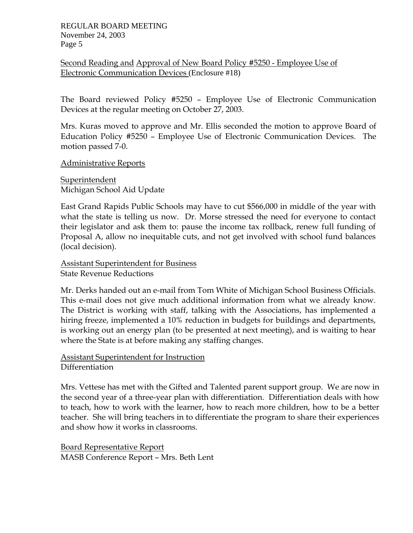Second Reading and Approval of New Board Policy #5250 - Employee Use of Electronic Communication Devices (Enclosure #18)

The Board reviewed Policy #5250 – Employee Use of Electronic Communication Devices at the regular meeting on October 27, 2003.

Mrs. Kuras moved to approve and Mr. Ellis seconded the motion to approve Board of Education Policy #5250 – Employee Use of Electronic Communication Devices. The motion passed 7-0.

Administrative Reports

Superintendent Michigan School Aid Update

East Grand Rapids Public Schools may have to cut \$566,000 in middle of the year with what the state is telling us now. Dr. Morse stressed the need for everyone to contact their legislator and ask them to: pause the income tax rollback, renew full funding of Proposal A, allow no inequitable cuts, and not get involved with school fund balances (local decision).

Assistant Superintendent for Business State Revenue Reductions

Mr. Derks handed out an e-mail from Tom White of Michigan School Business Officials. This e-mail does not give much additional information from what we already know. The District is working with staff, talking with the Associations, has implemented a hiring freeze, implemented a 10% reduction in budgets for buildings and departments, is working out an energy plan (to be presented at next meeting), and is waiting to hear where the State is at before making any staffing changes.

Assistant Superintendent for Instruction **Differentiation** 

Mrs. Vettese has met with the Gifted and Talented parent support group. We are now in the second year of a three-year plan with differentiation. Differentiation deals with how to teach, how to work with the learner, how to reach more children, how to be a better teacher. She will bring teachers in to differentiate the program to share their experiences and show how it works in classrooms.

Board Representative Report MASB Conference Report – Mrs. Beth Lent